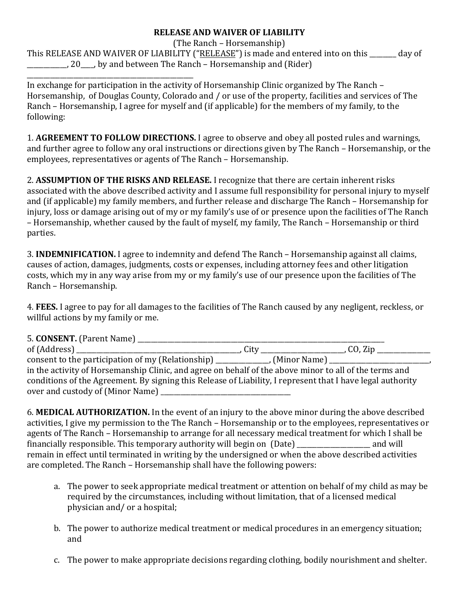## **RELEASE AND WAIVER OF LIABILITY**

(The Ranch – Horsemanship) This RELEASE AND WAIVER OF LIABILITY ("RELEASE") is made and entered into on this \_\_\_\_\_\_ day of . 20 Let by and between The Ranch – Horsemanship and (Rider) \_\_\_\_\_\_\_\_\_\_\_\_\_\_\_\_\_\_\_\_\_\_\_\_\_\_\_\_\_\_\_\_\_\_\_\_\_\_\_\_\_\_\_\_\_\_\_\_\_\_

In exchange for participation in the activity of Horsemanship Clinic organized by The Ranch – Horsemanship, of Douglas County, Colorado and / or use of the property, facilities and services of The Ranch – Horsemanship, I agree for myself and (if applicable) for the members of my family, to the following:

1. **AGREEMENT TO FOLLOW DIRECTIONS.** I agree to observe and obey all posted rules and warnings, and further agree to follow any oral instructions or directions given by The Ranch - Horsemanship, or the employees, representatives or agents of The Ranch – Horsemanship.

2. **ASSUMPTION OF THE RISKS AND RELEASE.** I recognize that there are certain inherent risks associated with the above described activity and I assume full responsibility for personal injury to myself and (if applicable) my family members, and further release and discharge The Ranch – Horsemanship for injury, loss or damage arising out of my or my family's use of or presence upon the facilities of The Ranch – Horsemanship, whether caused by the fault of myself, my family, The Ranch – Horsemanship or third parties.

**3. INDEMNIFICATION.** I agree to indemnity and defend The Ranch – Horsemanship against all claims, causes of action, damages, judgments, costs or expenses, including attorney fees and other litigation costs, which my in any way arise from my or my family's use of our presence upon the facilities of The Ranch – Horsemanship.

4. **FEES.** I agree to pay for all damages to the facilities of The Ranch caused by any negligent, reckless, or willful actions by my family or me.

| in the activity of Horsemanship Clinic, and agree on behalf of the above minor to all of the terms and     |  |  |
|------------------------------------------------------------------------------------------------------------|--|--|
| conditions of the Agreement. By signing this Release of Liability, I represent that I have legal authority |  |  |
|                                                                                                            |  |  |

6. MEDICAL AUTHORIZATION. In the event of an injury to the above minor during the above described activities, I give my permission to the The Ranch – Horsemanship or to the employees, representatives or agents of The Ranch – Horsemanship to arrange for all necessary medical treatment for which I shall be financially responsible. This temporary authority will begin on (Date) \_\_\_\_\_\_\_\_\_\_\_\_\_\_\_\_\_\_\_\_\_\_ and will remain in effect until terminated in writing by the undersigned or when the above described activities are completed. The Ranch – Horsemanship shall have the following powers:

- a. The power to seek appropriate medical treatment or attention on behalf of my child as may be required by the circumstances, including without limitation, that of a licensed medical physician and/ or a hospital;
- b. The power to authorize medical treatment or medical procedures in an emergency situation; and
- c. The power to make appropriate decisions regarding clothing, bodily nourishment and shelter.